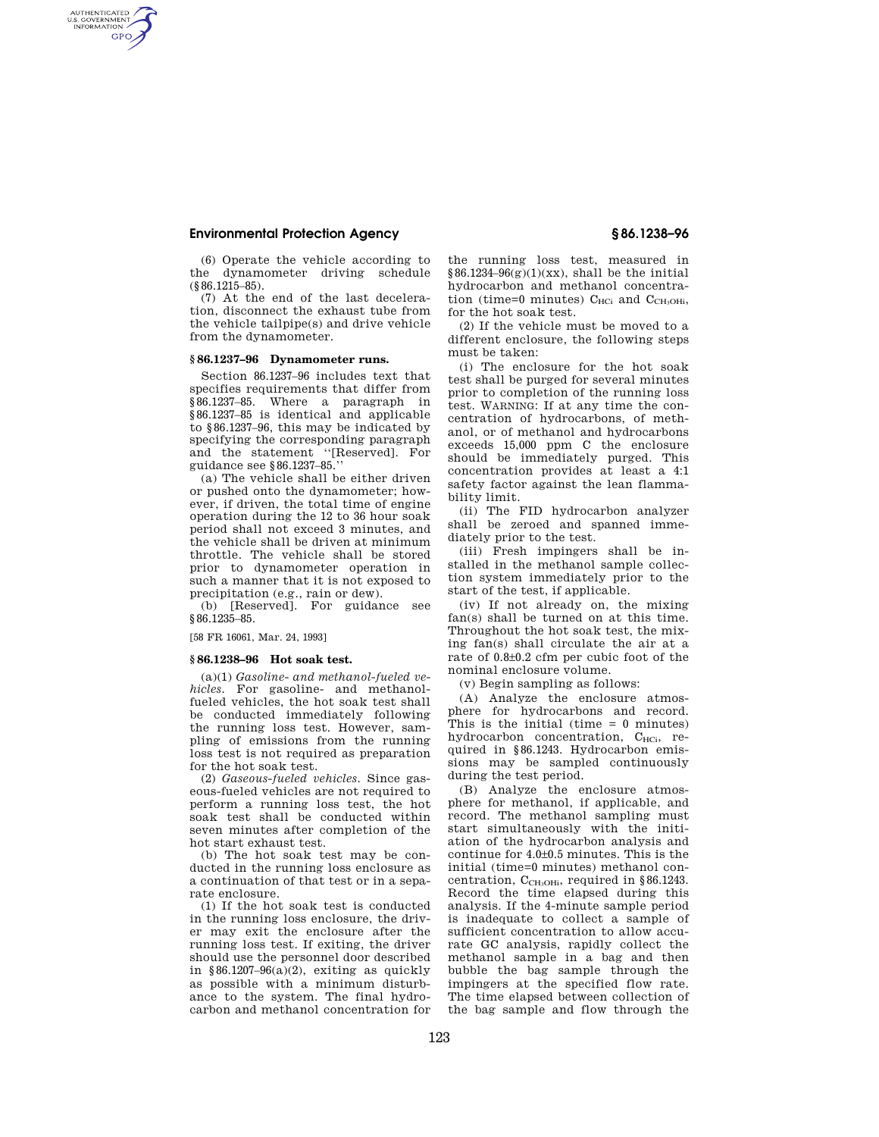## **Environmental Protection Agency § 86.1238–96**

AUTHENTICATED<br>U.S. GOVERNMENT<br>INFORMATION **GPO** 

> (6) Operate the vehicle according to the dynamometer driving schedule (§86.1215–85).

> (7) At the end of the last deceleration, disconnect the exhaust tube from the vehicle tailpipe(s) and drive vehicle from the dynamometer.

### **§ 86.1237–96 Dynamometer runs.**

Section 86.1237–96 includes text that specifies requirements that differ from §86.1237–85. Where a paragraph in §86.1237–85 is identical and applicable to §86.1237–96, this may be indicated by specifying the corresponding paragraph and the statement ''[Reserved]. For guidance see §86.1237–85.''

(a) The vehicle shall be either driven or pushed onto the dynamometer; however, if driven, the total time of engine operation during the 12 to 36 hour soak period shall not exceed 3 minutes, and the vehicle shall be driven at minimum throttle. The vehicle shall be stored prior to dynamometer operation in such a manner that it is not exposed to precipitation (e.g., rain or dew).

(b) [Reserved]. For guidance see §86.1235–85.

[58 FR 16061, Mar. 24, 1993]

### **§ 86.1238–96 Hot soak test.**

(a)(1) *Gasoline- and methanol-fueled vehicles.* For gasoline- and methanolfueled vehicles, the hot soak test shall be conducted immediately following the running loss test. However, sampling of emissions from the running loss test is not required as preparation for the hot soak test.

(2) *Gaseous-fueled vehicles.* Since gaseous-fueled vehicles are not required to perform a running loss test, the hot soak test shall be conducted within seven minutes after completion of the hot start exhaust test.

(b) The hot soak test may be conducted in the running loss enclosure as a continuation of that test or in a separate enclosure.

(1) If the hot soak test is conducted in the running loss enclosure, the driver may exit the enclosure after the running loss test. If exiting, the driver should use the personnel door described in §86.1207–96 $(a)(2)$ , exiting as quickly as possible with a minimum disturbance to the system. The final hydrocarbon and methanol concentration for the running loss test, measured in  $§86.1234–96(g)(1)(xx)$ , shall be the initial hydrocarbon and methanol concentration (time=0 minutes)  $C_{HCi}$  and  $C_{CH<sub>3</sub>OHi}$ , for the hot soak test.

(2) If the vehicle must be moved to a different enclosure, the following steps must be taken:

(i) The enclosure for the hot soak test shall be purged for several minutes prior to completion of the running loss test. WARNING: If at any time the concentration of hydrocarbons, of methanol, or of methanol and hydrocarbons exceeds 15,000 ppm C the enclosure should be immediately purged. This concentration provides at least a 4:1 safety factor against the lean flammability limit.

(ii) The FID hydrocarbon analyzer shall be zeroed and spanned immediately prior to the test.

(iii) Fresh impingers shall be installed in the methanol sample collection system immediately prior to the start of the test, if applicable.

(iv) If not already on, the mixing fan(s) shall be turned on at this time. Throughout the hot soak test, the mixing fan(s) shall circulate the air at a rate of 0.8±0.2 cfm per cubic foot of the nominal enclosure volume.

(v) Begin sampling as follows:

(A) Analyze the enclosure atmosphere for hydrocarbons and record. This is the initial (time  $= 0$  minutes) hydrocarbon concentration, C<sub>HCi</sub>, required in §86.1243. Hydrocarbon emissions may be sampled continuously during the test period.

(B) Analyze the enclosure atmosphere for methanol, if applicable, and record. The methanol sampling must start simultaneously with the initiation of the hydrocarbon analysis and continue for 4.0±0.5 minutes. This is the initial (time=0 minutes) methanol concentration,  $C_{\rm CH_3OHi}$ , required in §86.1243. Record the time elapsed during this analysis. If the 4-minute sample period is inadequate to collect a sample of sufficient concentration to allow accurate GC analysis, rapidly collect the methanol sample in a bag and then bubble the bag sample through the impingers at the specified flow rate. The time elapsed between collection of the bag sample and flow through the